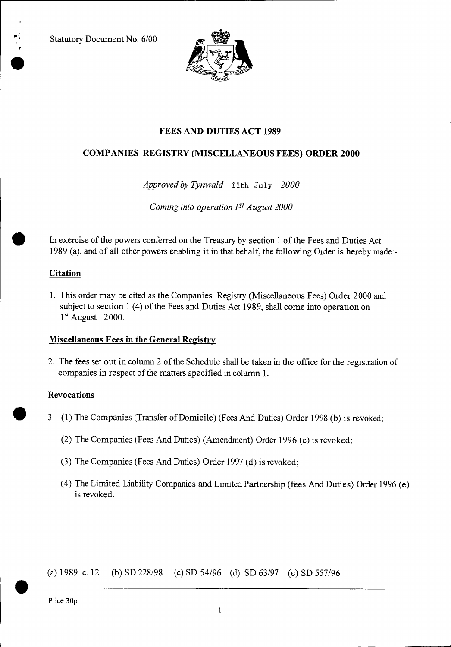Statutory Document No. 6/00

7



## **FEES AND DUTIES ACT 1989**

## **COMPANIES REGISTRY (MISCELLANEOUS FEES) ORDER 2000**

*Approved by Tynwald 11th* July *2000* 

*Coming into operation 1st August 2000* 

In exercise of the powers conferred on the Treasury by section 1 of the Fees and Duties Act 1989 (a), and of all other powers enabling it in that behalf, the following Order is hereby made:-

## **Citation**

1. This order may be cited as the Companies Registry (Miscellaneous Fees) Order 2000 and subject to section 1 (4) of the Fees and Duties Act 1989, shall come into operation on  $1<sup>st</sup>$  August 2000.

## **Miscellaneous Fees in the General Registry**

2. The fees set out in column 2 of the Schedule shall be taken in the office for the registration of companies in respect of the matters specified in column 1.

#### **Revocations**

- 3. (1) The Companies (Transfer of Domicile) (Fees And Duties) Order 1998 (b) is revoked;
	- (2) The Companies (Fees And Duties) (Amendment) Order 1996 (c) is revoked;
	- (3) The Companies (Fees And Duties) Order 1997 (d) is revoked;
	- (4) The Limited Liability Companies and Limited Partnership (fees And Duties) Order 1996 (e) is revoked.

(a) 1989 c. 12 (b) SD 228/98 (c) SD 54/96 (d) SD 63/97 (e) SD 557/96

Price 30p

•